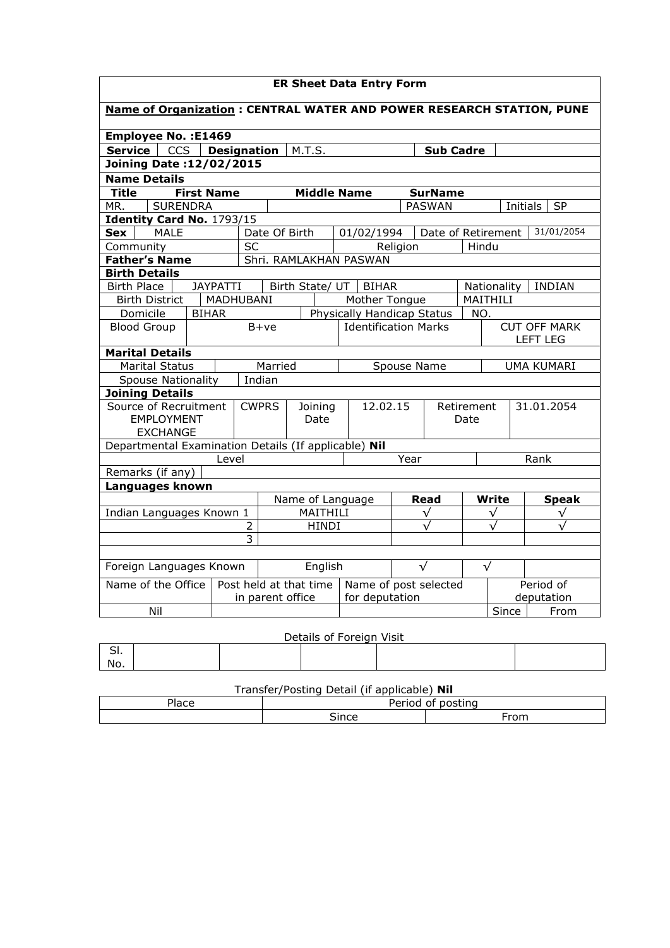| <b>ER Sheet Data Entry Form</b>                                           |                          |           |                                                              |                                                           |                    |      |                           |             |                                  |              |               |              |
|---------------------------------------------------------------------------|--------------------------|-----------|--------------------------------------------------------------|-----------------------------------------------------------|--------------------|------|---------------------------|-------------|----------------------------------|--------------|---------------|--------------|
| Name of Organization : CENTRAL WATER AND POWER RESEARCH STATION, PUNE     |                          |           |                                                              |                                                           |                    |      |                           |             |                                  |              |               |              |
| Employee No. : E1469                                                      |                          |           |                                                              |                                                           |                    |      |                           |             |                                  |              |               |              |
| <b>CCS</b><br><b>Designation</b><br>Service<br>M.T.S.<br><b>Sub Cadre</b> |                          |           |                                                              |                                                           |                    |      |                           |             |                                  |              |               |              |
| <b>Joining Date:12/02/2015</b>                                            |                          |           |                                                              |                                                           |                    |      |                           |             |                                  |              |               |              |
| <b>Name Details</b>                                                       |                          |           |                                                              |                                                           |                    |      |                           |             |                                  |              |               |              |
| <b>Title</b><br><b>First Name</b><br><b>Middle Name</b><br><b>SurName</b> |                          |           |                                                              |                                                           |                    |      |                           |             |                                  |              |               |              |
| <b>SURENDRA</b><br>MR.                                                    |                          |           |                                                              | <b>PASWAN</b><br><b>SP</b><br>Initials                    |                    |      |                           |             |                                  |              |               |              |
| Identity Card No. 1793/15                                                 |                          |           |                                                              |                                                           |                    |      |                           |             |                                  |              |               |              |
| <b>MALE</b><br><b>Sex</b>                                                 |                          |           | Date Of Birth                                                |                                                           |                    |      | 01/02/1994                |             | 31/01/2054<br>Date of Retirement |              |               |              |
| Community                                                                 |                          | <b>SC</b> |                                                              |                                                           |                    |      |                           | Religion    |                                  | Hindu        |               |              |
| <b>Father's Name</b>                                                      |                          |           |                                                              |                                                           |                    |      | Shri. RAMLAKHAN PASWAN    |             |                                  |              |               |              |
| <b>Birth Details</b>                                                      |                          |           |                                                              |                                                           |                    |      |                           |             |                                  |              |               |              |
| <b>Birth Place</b>                                                        | <b>JAYPATTI</b>          |           |                                                              | Birth State/ UT  <br><b>BIHAR</b>                         |                    |      |                           | Nationality |                                  |              | <b>INDIAN</b> |              |
| <b>Birth District</b>                                                     | MADHUBANI                |           |                                                              |                                                           |                    |      | MAITHILI<br>Mother Tongue |             |                                  |              |               |              |
|                                                                           | Domicile<br><b>BIHAR</b> |           |                                                              | Physically Handicap Status<br><b>Identification Marks</b> |                    |      |                           | NO.         | <b>CUT OFF MARK</b>              |              |               |              |
| <b>Blood Group</b>                                                        |                          |           | $B+ve$                                                       |                                                           |                    |      |                           |             | <b>LEFT LEG</b>                  |              |               |              |
| <b>Marital Details</b>                                                    |                          |           |                                                              |                                                           |                    |      |                           |             |                                  |              |               |              |
| <b>Marital Status</b>                                                     |                          |           | Married                                                      |                                                           |                    |      | Spouse Name               |             |                                  | UMA KUMARI   |               |              |
| Indian<br><b>Spouse Nationality</b>                                       |                          |           |                                                              |                                                           |                    |      |                           |             |                                  |              |               |              |
| <b>Joining Details</b>                                                    |                          |           |                                                              |                                                           |                    |      |                           |             |                                  |              |               |              |
| Source of Recruitment<br><b>EMPLOYMENT</b><br><b>EXCHANGE</b>             |                          |           | <b>CWPRS</b><br>12.02.15<br>Joining<br>Date                  |                                                           | Retirement<br>Date |      | 31.01.2054                |             |                                  |              |               |              |
| Departmental Examination Details (If applicable) Nil                      |                          |           |                                                              |                                                           |                    |      |                           |             |                                  |              |               |              |
| Level                                                                     |                          |           |                                                              |                                                           |                    | Year |                           |             |                                  | Rank         |               |              |
| Remarks (if any)                                                          |                          |           |                                                              |                                                           |                    |      |                           |             |                                  |              |               |              |
| Languages known                                                           |                          |           |                                                              |                                                           |                    |      |                           |             |                                  |              |               |              |
|                                                                           |                          |           | Name of Language                                             |                                                           |                    |      |                           | Read        |                                  | Write        | <b>Speak</b>  |              |
| Indian Languages Known 1                                                  |                          |           | MAITHILI                                                     |                                                           |                    |      |                           |             | $\checkmark$                     | $\checkmark$ |               | $\checkmark$ |
| 2                                                                         |                          |           | <b>HINDI</b>                                                 |                                                           |                    |      |                           |             |                                  |              |               |              |
| 3                                                                         |                          |           |                                                              |                                                           |                    |      |                           |             |                                  |              |               |              |
| Foreign Languages Known                                                   |                          |           |                                                              | English                                                   |                    |      | $\sqrt{}$                 |             | $\sqrt{}$                        |              |               |              |
|                                                                           |                          |           |                                                              |                                                           |                    |      | Name of post selected     |             |                                  | Period of    |               |              |
| Name of the Office                                                        |                          |           | Post held at that time<br>for deputation<br>in parent office |                                                           |                    |      |                           | deputation  |                                  |              |               |              |
| Nil                                                                       |                          |           |                                                              |                                                           |                    |      |                           |             |                                  |              | Since         | From         |
|                                                                           |                          |           |                                                              |                                                           |                    |      |                           |             |                                  |              |               |              |

## Details of Foreign Visit

| ້   |  |  |  |
|-----|--|--|--|
| No. |  |  |  |

## Transfer/Posting Detail (if applicable) Nil

| Place | Period of posting |      |  |  |  |  |  |  |
|-------|-------------------|------|--|--|--|--|--|--|
|       | ∖ınce<br>יי       | From |  |  |  |  |  |  |